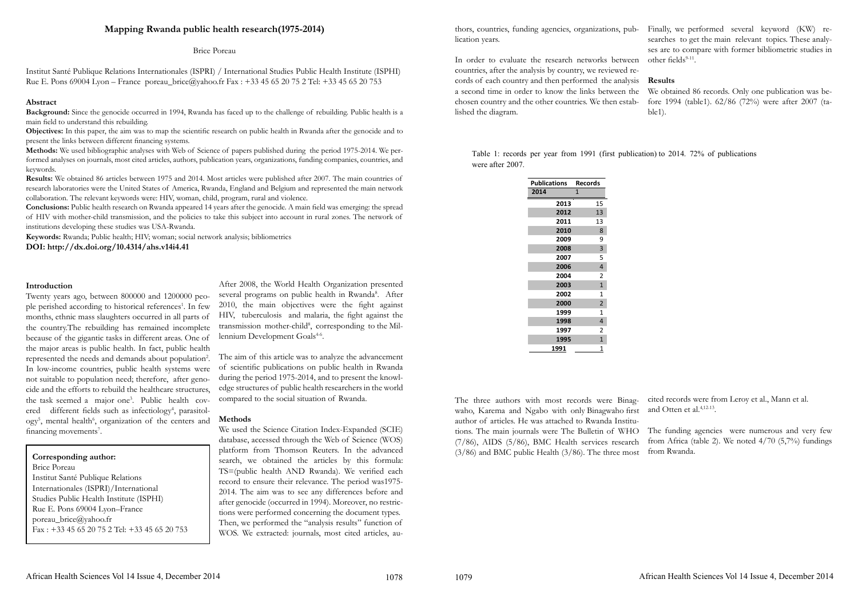# **Mapping Rwanda public health research(1975-2014)**

Institut Santé Publique Relations Internationales (ISPRI) / International Studies Public Health Institute (ISPHI) Rue E. Pons 69004 Lyon – France poreau brice@yahoo.fr Fax : +33 45 65 20 75 2 Tel: +33 45 65 20 753

Brice Poreau

# **Abstract**

**Background:** Since the genocide occurred in 1994, Rwanda has faced up to the challenge of rebuilding. Public health is a main field to understand this rebuilding.

**Objectives:** In this paper, the aim was to map the scientific research on public health in Rwanda after the genocide and to present the links between different financing systems.

**Methods:** We used bibliographic analyses with Web of Science of papers published during the period 1975-2014. We performed analyses on journals, most cited articles, authors, publication years, organizations, funding companies, countries, and keywords.

Twenty years ago, between 800000 and 1200000 people perished according to historical references<sup>1</sup>. In few months, ethnic mass slaughters occurred in all parts of the country.The rebuilding has remained incomplete because of the gigantic tasks in different areas. One of the major areas is public health. In fact, public health represented the needs and demands about population<sup>2</sup>. In low-income countries, public health systems were not suitable to population need; therefore, after genocide and the efforts to rebuild the healthcare structures, the task seemed a major one3 . Public health covered different fields such as infectiology<sup>4</sup>, parasitology<sup>5</sup>, mental health<sup>6</sup>, organization of the centers and financing movements<sup>7</sup>.

**Results:** We obtained 86 articles between 1975 and 2014. Most articles were published after 2007. The main countries of research laboratories were the United States of America, Rwanda, England and Belgium and represented the main network collaboration. The relevant keywords were: HIV, woman, child, program, rural and violence.

> After 2008, the World Health Organization presented several programs on public health in Rwanda<sup>8</sup>. After 2010, the main objectives were the fight against HIV, tuberculosis and malaria, the fight against the transmission mother-child<sup>8</sup>, corresponding to the Millennium Development Goals<sup>4-6</sup>.

**Conclusions:** Public health research on Rwanda appeared 14 years after the genocide. A main field was emerging: the spread of HIV with mother-child transmission, and the policies to take this subject into account in rural zones. The network of institutions developing these studies was USA-Rwanda.

**Keywords:** Rwanda; Public health; HIV; woman; social network analysis; bibliometrics **DOI: http://dx.doi.org/10.4314/ahs.v14i4.41**

## **Introduction**

thors, countries, funding agencies, organizations, pub-Finally, we performed several keyword (KW) researches to get the main relevant topics. These analyses are to compare with former bibliometric studies in other fields<sup>9-11</sup>.

 **Corresponding author:** Brice Poreau Institut Santé Publique Relations Internationales (ISPRI)/International Studies Public Health Institute (ISPHI) Rue E. Pons 69004 Lyon–France poreau\_brice@yahoo.fr Fax : +33 45 65 20 75 2 Tel: +33 45 65 20 753 The aim of this article was to analyze the advancement of scientific publications on public health in Rwanda during the period 1975-2014, and to present the knowledge structures of public health researchers in the world compared to the social situation of Rwanda.

### **Methods**

We used the Science Citation Index-Expanded (SCIE) database, accessed through the Web of Science (WOS) platform from Thomson Reuters. In the advanced search, we obtained the articles by this formula: TS=(public health AND Rwanda). We verified each record to ensure their relevance. The period was1975- 2014. The aim was to see any differences before and after genocide (occurred in 1994). Moreover, no restrictions were performed concerning the document types. Then, we performed the "analysis results" function of WOS. We extracted: journals, most cited articles, aulication years.

In order to evaluate the research networks between countries, after the analysis by country, we reviewed records of each country and then performed the analysis a second time in order to know the links between the chosen country and the other countries. We then established the diagram. **Results** We obtained 86 records. Only one publication was before 1994 (table1). 62/86 (72%) were after 2007 (table1).

The three authors with most records were Binagwaho, Karema and Ngabo with only Binagwaho first author of articles. He was attached to Rwanda Institutions. The main journals were The Bulletin of WHO (7/86), AIDS (5/86), BMC Health services research  $(3/86)$  and BMC public Health  $(3/86)$ . The three most cited records were from Leroy et al., Mann et al. and Otten et al.4,12-13. The funding agencies were numerous and very few from Africa (table 2). We noted 4/70 (5,7%) fundings from Rwanda.

Table 1: records per year from 1991 (first publication) to 2014. 72% of publications were after 2007.

| <b>Publications</b> | <b>Records</b>           |
|---------------------|--------------------------|
| 2014                | $\mathbf{1}$             |
| 2013                | 15                       |
| 2012                | 13                       |
| 2011                | 13                       |
| 2010                | 8                        |
| 2009                | 9                        |
| 2008                | 3                        |
| 2007                | 5                        |
| 2006                | $\overline{\mathcal{A}}$ |
| 2004                | $\overline{c}$           |
| 2003                | $\overline{1}$           |
| 2002                | $\mathbf{1}$             |
| 2000                | $\overline{c}$           |
| 1999                | $\mathbf{1}$             |
| 1998                | 4                        |
| 1997                | $\overline{c}$           |
| 1995                | $\mathbf{1}$             |
| <u> 1991</u>        | 1                        |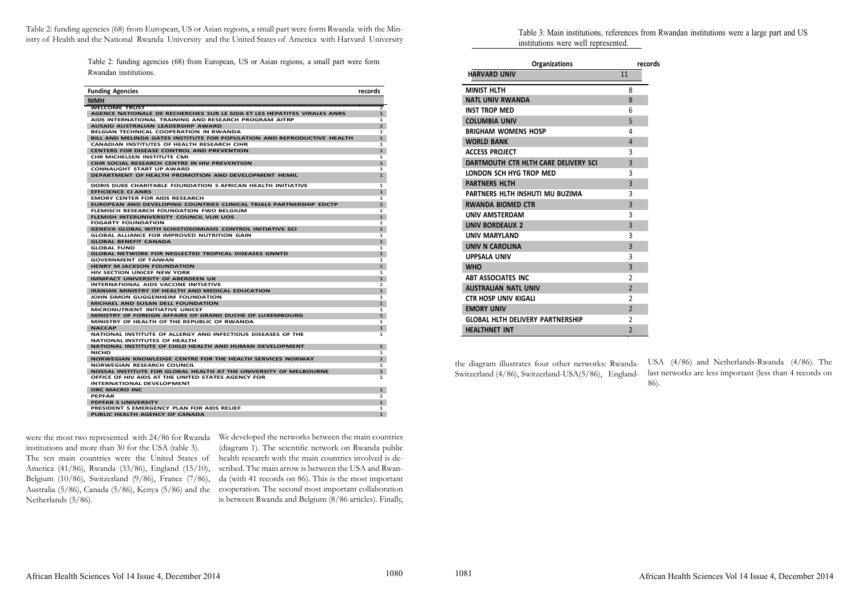Table 2: funding agencies (68) from European, US or Asian regions, a small part were form Rwanda with the Ministry of Health and the National Rwanda University and the United States of America with Harvard University

were the most two represented with 24/86 for Rwanda We developed the networks between the main countries institutions and more than 30 for the USA (table 3). The ten main countries were the United States of health research with the main countries involved is de-America (41/86), Rwanda (33/86), England (15/10), Belgium (10/86), Switzerland (9/86), France (7/86), Australia (5/86), Canada (5/86), Kenya (5/86) and the cooperation. The second most important collaboration Netherlands (5/86).

(diagram 1). The scientific network on Rwanda public scribed. The main arrow is between the USA and Rwanda (with 41 records on 86). This is the most important is between Rwanda and Belgium (8/86 articles). Finally,

the diagram illustrates four other networks: Rwanda-Switzerland (4/86), Switzerland-USA(5/86), England-USA (4/86) and Netherlands-Rwanda (4/86). The last networks are less important (less than 4 records on 86).

cords

Table 2: funding agencies (68) from European, US or Asian regions, a small part were form Rwandan institutions.

| <b>Funding Agencies</b>                                                                |                |
|----------------------------------------------------------------------------------------|----------------|
| <b>NIMH</b>                                                                            |                |
| WELCOME TRUST                                                                          | $\overline{2}$ |
| AGENCE NATIONALE DE RECHERCHES SUR LE SIDA ET LES HEPATITES VIRALES ANRS               | $\mathbf{1}$   |
| AIDS INTERNATIONAL TRAINING AND RESEARCH PROGRAM AITRP                                 | $\mathbf{1}$   |
| AUSAID AUSTRALIAN LEADERSHIP AWARD                                                     | $\mathbf{1}$   |
| <b>BELGIAN TECHNICAL COOPERATION IN RWANDA</b>                                         | 1              |
| BILL AND MELINDA GATES INSTITUTE FOR POPULATION AND REPRODUCTIVE HEALTH                | $\mathbf{1}$   |
| CANADIAN INSTITUTES OF HEALTH RESEARCH CIHR                                            | $\mathbf{1}$   |
| <b>CENTERS FOR DISEASE CONTROL AND PREVENTION</b>                                      | $\mathbf{1}$   |
| CHR MICHELSEN INSTITUTE CMI                                                            | 1              |
| CIHR SOCIAL RESEARCH CENTRE IN HIV PREVENTION                                          | $\mathbf{1}$   |
| CONNAUGHT START UP AWARD                                                               | 1              |
| DEPARTMENT OF HEALTH PROMOTION AND DEVELOPMENT HEMIL                                   | $\mathbf{1}$   |
| DORIS DUKE CHARITABLE FOUNDATION S AFRICAN HEALTH INITIATIVE                           | 1              |
| <b>EFFICIENCE CI ANRS</b>                                                              | $\mathbf{1}$   |
| EMORY CENTER FOR AIDS RESEARCH                                                         | 1              |
| EUROPEAN AND DEVELOPING COUNTRIES CLINICAL TRIALS PARTNERSHIP EDCTP                    | $\mathbf{1}$   |
| FLEMISCH RESEARCH FOUNDATION FWO BELGIUM                                               | 1              |
| FLEMISH INTERUNIVERSITY COUNCIL VLIR UOS                                               | $\mathbf{1}$   |
| <b>FOGARTY FOUNDATION</b>                                                              | 1              |
| GENEVA GLOBAL WITH SCHISTOSOMIASIS CONTROL INITIATIVE SCI                              | $\mathbf{1}$   |
| GLOBAL ALLIANCE FOR IMPROVED NUTRITION GAIN                                            | 1              |
| <b>GLOBAL BENEFIT CANADA</b>                                                           | $\mathbf{1}$   |
| GLOBAL FUND                                                                            | 1              |
| <b>GLOBAL NETWORK FOR NEGLECTED TROPICAL DISEASES GNNTD</b>                            | $\mathbf{1}$   |
| <b>GOVERNMENT OF TAIWAN</b>                                                            | 1              |
| <b>HENRY M JACKSON FOUNDATION</b>                                                      | $\mathbf{1}$   |
| <b>HIV SECTION UNICEF NEW YORK</b>                                                     | 1              |
| <b>IMMPACT UNIVERSITY OF ABERDEEN UK</b>                                               | $\mathbf{1}$   |
| INTERNATIONAL AIDS VACCINE INITIATIVE                                                  | 1              |
| <b>IRANIAN MINISTRY OF HEALTH AND MEDICAL EDUCATION</b>                                | $\mathbf{1}$   |
| JOHN SIMON GUGGENHEIM FOUNDATION                                                       | $\mathbf{1}$   |
| MICHAEL AND SUSAN DELL FOUNDATION                                                      | $\mathbf{1}$   |
| MICRONUTRIENT INITIATIVE UNICEF                                                        | 1              |
| MINISTRY OF FOREIGN AFFAIRS OF GRAND DUCHE OF LUXEMBOURG                               | $\mathbf{1}$   |
| MINISTRY OF HEALTH OF THE REPUBLIC OF RWANDA                                           | $\mathbf{1}$   |
| <b>NACCAP</b>                                                                          | $\mathbf{1}$   |
| NATIONAL INSTITUTE OF ALLERGY AND INFECTIOUS DISEASES OF THE                           | 1              |
| NATIONAL INSTITUTES OF HEALTH                                                          |                |
| NATIONAL INSTITUTE OF CHILD HEALTH AND HUMAN DEVELOPMENT                               | $\mathbf{1}$   |
| NICHD                                                                                  | 1              |
| NORWEGIAN KNOWLEDGE CENTRE FOR THE HEALTH SERVICES NORWAY                              | $\mathbf{1}$   |
| <b>NORWEGIAN RESEARCH COUNCIL</b>                                                      |                |
|                                                                                        | 1              |
| NOSSAL INSTITUTE FOR GLOBAL HEALTH AT THE UNIVERSITY OF MELBOURNE                      | $\mathbf{1}$   |
| OFFICE OF HIV AIDS AT THE UNITED STATES AGENCY FOR<br><b>INTERNATIONAL DEVELOPMENT</b> | 1              |
|                                                                                        |                |
| ORC MACRO INC                                                                          | $\mathbf{1}$   |
| <b>PEPFAR</b>                                                                          | 1              |
| <b>PEPFAR S UNIVERSITY</b>                                                             | $\mathbf{1}$   |
| PRESIDENT S EMERGENCY PLAN FOR AIDS RELIEF                                             | $\mathbf{1}$   |
| PUBLIC HEALTH AGENCY OF CANADA                                                         | $\mathbf{1}$   |

Table 3: Main institutions, references from Rwandan institutions were a large part and US institutions were well represented.

| <b>Organizations</b>                    | rec            |
|-----------------------------------------|----------------|
| <b>HARVARD UNIV</b>                     | 11             |
| <b>MINIST HLTH</b>                      | 8              |
| <b>NATL UNIV RWANDA</b>                 | 8              |
| <b>INST TROP MED</b>                    | 6              |
| <b>COLUMBIA UNIV</b>                    | 5              |
| <b>BRIGHAM WOMENS HOSP</b>              | 4              |
| <b>WORLD BANK</b>                       | 4              |
| <b>ACCESS PROJECT</b>                   | 3              |
| DARTMOUTH CTR HLTH CARE DELIVERY SCI    | 3              |
| LONDON SCH HYG TROP MED                 | 3              |
| <b>PARTNERS HLTH</b>                    | 3              |
| PARTNERS HLTH INSHUTI MU BUZIMA         | 3              |
| <b>RWANDA BIOMED CTR</b>                | 3              |
| <b>UNIV AMSTERDAM</b>                   | 3              |
| <b>UNIV BORDEAUX 2</b>                  | 3              |
| <b>UNIV MARYLAND</b>                    | 3              |
| <b>UNIV N CAROLINA</b>                  | 3              |
| <b>UPPSALA UNIV</b>                     | 3              |
| <b>WHO</b>                              | 3              |
| <b>ABT ASSOCIATES INC</b>               | 2              |
| <b>AUSTRALIAN NATL UNIV</b>             | $\overline{2}$ |
| <b>CTR HOSP UNIV KIGALI</b>             | $\overline{2}$ |
| <b>EMORY UNIV</b>                       | $\overline{2}$ |
| <b>GLOBAL HLTH DELIVERY PARTNERSHIP</b> | 2              |
| <b>HEALTHNET INT</b>                    | $\overline{2}$ |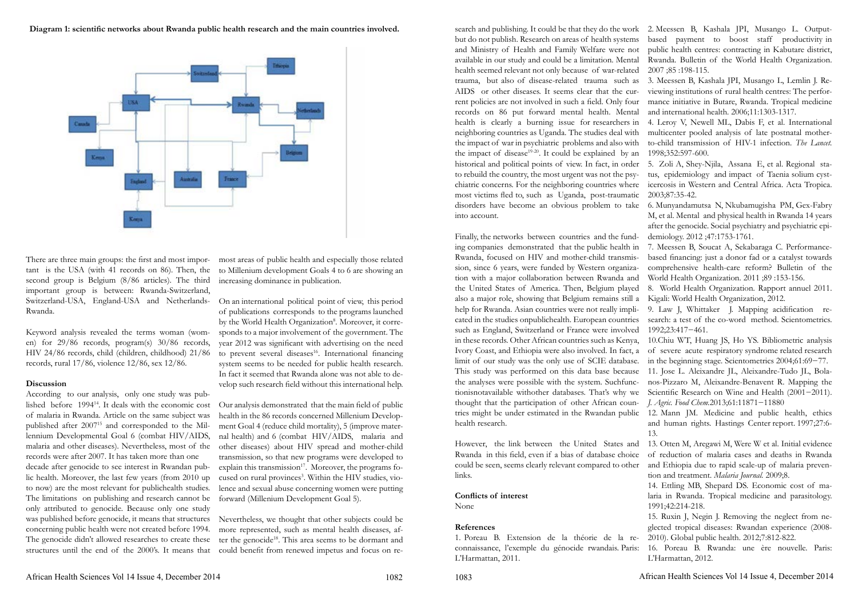**Diagram 1: scientific networks about Rwanda public health research and the main countries involved.** 



There are three main groups: the first and most impor-most areas of public health and especially those related tant is the USA (with 41 records on 86). Then, the to Millenium development Goals 4 to 6 are showing an second group is Belgium (8/86 articles). The third important group is between: Rwanda-Switzerland, Switzerland-USA, England-USA and Netherlands-Rwanda.

Keyword analysis revealed the terms woman (women) for 29/86 records, program(s) 30/86 records, HIV 24/86 records, child (children, childhood) 21/86 records, rural 17/86, violence 12/86, sex 12/86.

# **Discussion**

According to our analysis, only one study was published before 199414. It deals with the economic cost of malaria in Rwanda. Article on the same subject was published after 200715 and corresponded to the Millennium Developmental Goal 6 (combat HIV/AIDS, malaria and other diseases). Nevertheless, most of the records were after 2007. It has taken more than one decade after genocide to see interest in Rwandan public health. Moreover, the last few years (from 2010 up to now) are the most relevant for publichealth studies. The limitations on publishing and research cannot be only attributed to genocide. Because only one study was published before genocide, it means that structures Nevertheless, we thought that other subjects could be concerning public health were not created before 1994. The genocide didn't allowed researches to create these structures until the end of the 2000's. It means that

increasing dominance in publication.

On an international political point of view, this period of publications corresponds to the programs launched by the World Health Organization8. Moreover, it corresponds to a major involvement of the government. The year 2012 was significant with advertising on the need to prevent several diseases<sup>16</sup>. International financing system seems to be needed for public health research. In fact it seemed that Rwanda alone was not able to develop such research field without this international help.

Our analysis demonstrated that the main field of public health in the 86 records concerned Millenium Development Goal 4 (reduce child mortality), 5 (improve maternal health) and 6 (combat HIV/AIDS, malaria and other diseases) about HIV spread and mother-child transmission, so that new programs were developed to explain this transmission<sup>17</sup>. Moreover, the programs focused on rural provinces<sup>3</sup>. Within the HIV studies, violence and sexual abuse concerning women were putting forward (Millenium Development Goal 5).

more represented, such as mental health diseases, after the genocide<sup>18</sup>. This area seems to be dormant and could benefit from renewed impetus and focus on rebut do not publish. Research on areas of health systems and Ministry of Health and Family Welfare were not available in our study and could be a limitation. Mental health seemed relevant not only because of war-related trauma, but also of disease-related trauma such as 3. Meessen B, Kashala JPI, Musango L, Lemlin J. Re-AIDS or other diseases. It seems clear that the current policies are not involved in such a field. Only four records on 86 put forward mental health. Mental health is clearly a burning issue for researchers in neighboring countries as Uganda. The studies deal with the impact of war in psychiatric problems and also with the impact of disease $1^{9-20}$ . It could be explained by an historical and political points of view. In fact, in order to rebuild the country, the most urgent was not the psychiatric concerns. For the neighboring countries where most victims fled to, such as Uganda, post-traumatic 2003;87:35-42. disorders have become an obvious problem to take 6. Munyandamutsa N, Nkubamugisha PM, Gex-Fabry into account.

Finally, the networks between countries and the funding companies demonstrated that the public health in Rwanda, focused on HIV and mother-child transmission, since 6 years, were funded by Western organization with a major collaboration between Rwanda and the United States of America. Then, Belgium played also a major role, showing that Belgium remains still a help for Rwanda. Asian countries were not really implicated in the studies onpublichealth. European countries such as England, Switzerland or France were involved in these records. Other African countries such as Kenya, Ivory Coast, and Ethiopia were also involved. In fact, a limit of our study was the only use of SCIE database. in the beginning stage. Scientometrics 2004;61:69−77. This study was performed on this data base because the analyses were possible with the system. Suchfunctionisnotavailable withother databases. That's why we Scientific Research on Wine and Health (2001−2011). thought that the participation of other African countries might be under estimated in the Rwandan public health research.

Rwanda in this field, even if a bias of database choice could be seen, seems clearly relevant compared to other links.

**Conflicts of interest** None

# **References**

1. Poreau B. Extension de la théorie de la reconnaissance, l'exemple du génocide rwandais. Paris: L'Harmattan, 2011.

- search and publishing. It could be that they do the work 2. Meessen B, Kashala JPI, Musango L. Outputbased payment to boost staff productivity in public health centres: contracting in Kabutare district, Rwanda. Bulletin of the World Health Organization. 2007 ;85 :198-115.
	- viewing institutions of rural health centres: The performance initiative in Butare, Rwanda. Tropical medicine and international health. 2006;11:1303-1317.
	- 4. Leroy V, Newell ML, Dabis F, et al. International multicenter pooled analysis of late postnatal motherto-child transmission of HIV-1 infection. *The Lancet.*  1998;352:597-600.
	- 5. Zoli A, Shey-Njila, Assana E, et al. Regional status, epidemiology and impact of Taenia solium cysticercosis in Western and Central Africa. Acta Tropica.
	- M, et al. Mental and physical health in Rwanda 14 years after the genocide. Social psychiatry and psychiatric epidemiology. 2012 ;47:1753-1761.
	- 7. Meessen B, Soucat A, Sekabaraga C. Performancebased financing: just a donor fad or a catalyst towards comprehensive health-care reform? Bulletin of the World Health Organization. 2011 ;89 :153-156.
	- 8. World Health Organization. Rapport annuel 2011. Kigali: World Health Organization, 2012*.*
	- 9. Law J, Whittaker J. Mapping acidification research: a test of the co-word method. Scientometrics. 1992;23:417−461.
	- 10.Chiu WT, Huang JS, Ho YS. Bibliometric analysis of severe acute respiratory syndrome related research
	- 11. Jose L. Aleixandre JL, Aleixandre-Tudo JL, Bolanos-Pizzaro M, Aleixandre-Benavent R. Mapping the *J. Agric. Food Chem.*2013;61:11871−11880
	- 12. Mann JM. Medicine and public health, ethics and human rights. Hastings Center report. 1997;27:6- 13.
- However, the link between the United States and 13. Otten M, Aregawi M, Were W et al. Initial evidence of reduction of malaria cases and deaths in Rwanda and Ethiopia due to rapid scale-up of malaria prevention and treatment. *Malaria Journal.* 2009;8.
	- 14. Ettling MB, Shepard DS. Economic cost of malaria in Rwanda. Tropical medicine and parasitology. 1991;42:214-218.
	- 15. Ruxin J, Negin J. Removing the neglect from neglected tropical diseases: Rwandan experience (2008- 2010). Global public health. 2012;7:812-822.
	- 16. Poreau B. Rwanda: une ère nouvelle. Paris: L'Harmattan, 2012.

1082 African Health Sciences Vol 14 Issue 4, December 2014